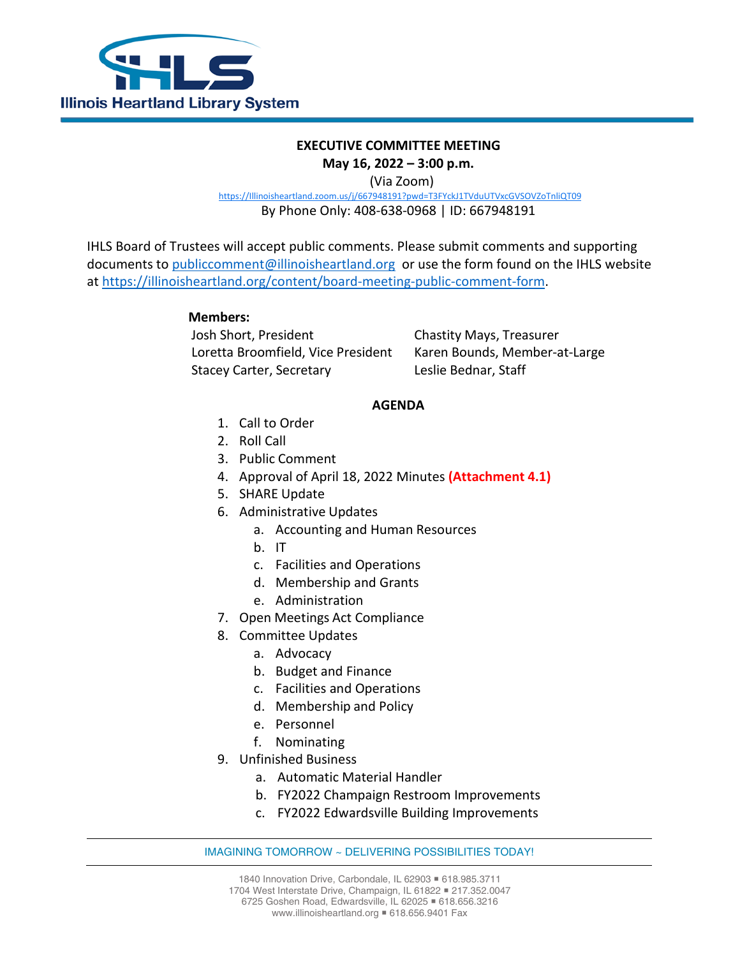

## **EXECUTIVE COMMITTEE MEETING May 16, 2022 – 3:00 p.m.**

(Via Zoom)

[https://Illinoisheartland.zoom.us/j/667948191?pwd=T3FYckJ1TVduUTVxcGVSOVZoTnliQT09](https://illinoisheartland.zoom.us/j/667948191?pwd=T3FYckJ1TVduUTVxcGVSOVZoTnliQT09)

By Phone Only: 408-638-0968 | ID: 667948191

IHLS Board of Trustees will accept public comments. Please submit comments and supporting documents to [publiccomment@illinoisheartland.org](mailto:publiccomment@illinoisheartland.org) or use the form found on the IHLS website at [https://illinoisheartland.org/content/board-meeting-public-comment-form.](https://illinoisheartland.org/content/board-meeting-public-comment-form)

## **Members:**

Josh Short, President Chastity Mays, Treasurer Loretta Broomfield, Vice President Karen Bounds, Member-at-Large Stacey Carter, Secretary **Leslie Bednar, Staff** 

## **AGENDA**

- 1. Call to Order
- 2. Roll Call
- 3. Public Comment
- 4. Approval of April 18, 2022 Minutes **(Attachment 4.1)**
- 5. SHARE Update
- 6. Administrative Updates
	- a. Accounting and Human Resources
	- b. IT
	- c. Facilities and Operations
	- d. Membership and Grants
	- e. Administration
- 7. Open Meetings Act Compliance
- 8. Committee Updates
	- a. Advocacy
	- b. Budget and Finance
	- c. Facilities and Operations
	- d. Membership and Policy
	- e. Personnel
	- f. Nominating
- 9. Unfinished Business
	- a. Automatic Material Handler
	- b. FY2022 Champaign Restroom Improvements
	- c. FY2022 Edwardsville Building Improvements

## IMAGINING TOMORROW ~ DELIVERING POSSIBILITIES TODAY!